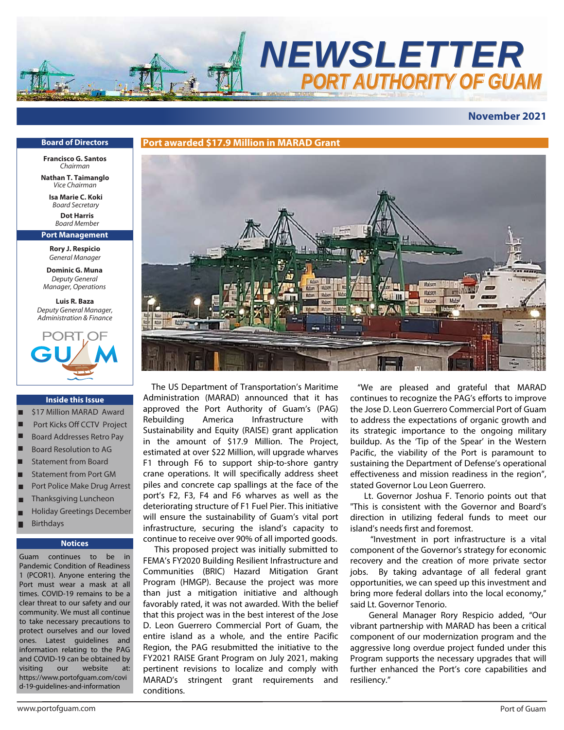

## **November 2021**

#### **Board of Directors**

**Francisco G. Santos** *Chairman*

**Nathan T. Taimanglo** *Vice Chairman*

**Isa Marie C. Koki** *Board Secretary*

**Dot Harris** *Board* Member

**Port Management**

**Rory J. Respicio** *General Manager*

**Dominic G. Muna** *Deputy General Manager, Operations*

**Luis R. Baza** *Deputy General Manager, Administration & Finance*



#### **Inside this Issue**

- \$17 Million MARAD Award
- Port Kicks Off CCTV Project
- Board Addresses Retro Pay
- Board Resolution to AG ■
- Statement from Board ■
- Statement from Port GM ■
- Port Police Make Drug Arrest ■
- Thanksgiving Luncheon ■
- Holiday Greetings December ■
- Birthdays ■ ■

#### **Notices**

Guam continues to be Pandemic Condition of Readiness 1 (PCOR1). Anyone entering the Port must wear a mask at all times. COVID-19 remains to be a clear threat to our safety and our community. We must all continue to take necessary precautions to protect ourselves and our loved ones. Latest guidelines and information relating to the PAG and COVID-19 can be obtained by visiting our website at: https://www.portofguam.com/covi d-19-guidelines-and-information



 The US Department of Transportation's Maritime Administration (MARAD) announced that it has approved the Port Authority of Guam's (PAG) Rebuilding America Infrastructure with Sustainability and Equity (RAISE) grant application in the amount of \$17.9 Million. The Project, estimated at over \$22 Million, will upgrade wharves F1 through F6 to support ship-to-shore gantry crane operations. It will specifically address sheet piles and concrete cap spallings at the face of the port's F2, F3, F4 and F6 wharves as well as the deteriorating structure of F1 Fuel Pier. This initiative will ensure the sustainability of Guam's vital port infrastructure, securing the island's capacity to continue to receive over 90% of all imported goods.

 This proposed project was initially submitted to FEMA's FY2020 Building Resilient Infrastructure and Communities (BRIC) Hazard Mitigation Grant Program (HMGP). Because the project was more than just a mitigation initiative and although favorably rated, it was not awarded. With the belief that this project was in the best interest of the Jose D. Leon Guerrero Commercial Port of Guam, the entire island as a whole, and the entire Pacific Region, the PAG resubmitted the initiative to the FY2021 RAISE Grant Program on July 2021, making pertinent revisions to localize and comply with MARAD's stringent grant requirements and conditions.

 "We are pleased and grateful that MARAD continues to recognize the PAG's efforts to improve the Jose D. Leon Guerrero Commercial Port of Guam to address the expectations of organic growth and its strategic importance to the ongoing military buildup. As the 'Tip of the Spear' in the Western Pacific, the viability of the Port is paramount to sustaining the Department of Defense's operational effectiveness and mission readiness in the region", stated Governor Lou Leon Guerrero.

 Lt. Governor Joshua F. Tenorio points out that "This is consistent with the Governor and Board's direction in utilizing federal funds to meet our island's needs first and foremost.

 "Investment in port infrastructure is a vital component of the Governor's strategy for economic recovery and the creation of more private sector jobs. By taking advantage of all federal grant opportunities, we can speed up this investment and bring more federal dollars into the local economy," said Lt. Governor Tenorio.

 General Manager Rory Respicio added, "Our vibrant partnership with MARAD has been a critical component of our modernization program and the aggressive long overdue project funded under this Program supports the necessary upgrades that will further enhanced the Port's core capabilities and resiliency."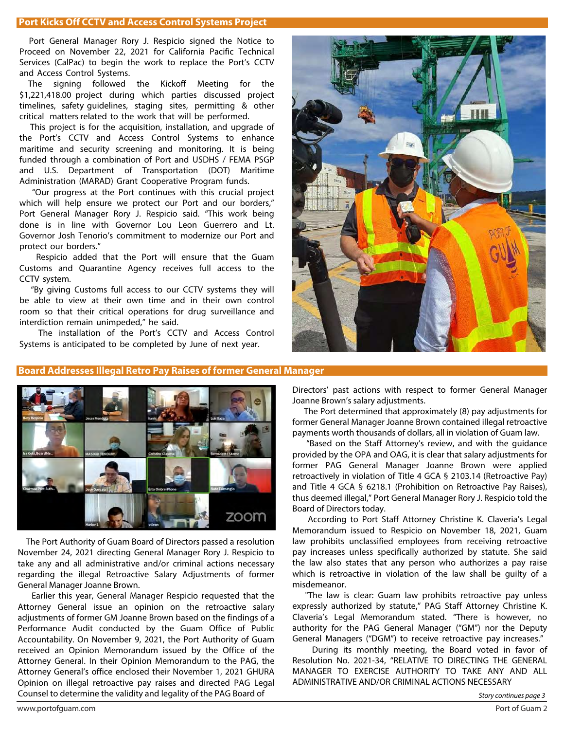## **Port Kicks Off CCTV and Access Control Systems Project**

 Port General Manager Rory J. Respicio signed the Notice to Proceed on November 22, 2021 for California Pacific Technical Services (CalPac) to begin the work to replace the Port's CCTV and Access Control Systems.

The signing followed the Kickoff Meeting for the \$1,221,418.00 project during which parties discussed project timelines, safety guidelines, staging sites, permitting & other critical matters related to the work that will be performed.

 This project is for the acquisition, installation, and upgrade of the Port's CCTV and Access Control Systems to enhance maritime and security screening and monitoring. It is being funded through a combination of Port and USDHS / FEMA PSGP and U.S. Department of Transportation (DOT) Maritime Administration (MARAD) Grant Cooperative Program funds.

 "Our progress at the Port continues with this crucial project which will help ensure we protect our Port and our borders," Port General Manager Rory J. Respicio said. "This work being done is in line with Governor Lou Leon Guerrero and Lt. Governor Josh Tenorio's commitment to modernize our Port and protect our borders."

 Respicio added that the Port will ensure that the Guam Customs and Quarantine Agency receives full access to the CCTV system.

 "By giving Customs full access to our CCTV systems they will be able to view at their own time and in their own control room so that their critical operations for drug surveillance and interdiction remain unimpeded," he said.

 The installation of the Port's CCTV and Access Control Systems is anticipated to be completed by June of next year.



# **Board Addresses Illegal Retro Pay Raises of former General Manager**



 The Port Authority of Guam Board of Directors passed a resolution November 24, 2021 directing General Manager Rory J. Respicio to take any and all administrative and/or criminal actions necessary regarding the illegal Retroactive Salary Adjustments of former General Manager Joanne Brown.

 Earlier this year, General Manager Respicio requested that the Attorney General issue an opinion on the retroactive salary adjustments of former GM Joanne Brown based on the findings of a Performance Audit conducted by the Guam Office of Public Accountability. On November 9, 2021, the Port Authority of Guam received an Opinion Memorandum issued by the Office of the Attorney General. In their Opinion Memorandum to the PAG, the Attorney General's office enclosed their November 1, 2021 GHURA Opinion on illegal retroactive pay raises and directed PAG Legal Counsel to determine the validity and legality of the PAG Board of Story continues page 3

Directors' past actions with respect to former General Manager Joanne Brown's salary adjustments.

 The Port determined that approximately (8) pay adjustments for former General Manager Joanne Brown contained illegal retroactive payments worth thousands of dollars, all in violation of Guam law.

 "Based on the Staff Attorney's review, and with the guidance provided by the OPA and OAG, it is clear that salary adjustments for former PAG General Manager Joanne Brown were applied retroactively in violation of Title 4 GCA § 2103.14 (Retroactive Pay) and Title 4 GCA § 6218.1 (Prohibition on Retroactive Pay Raises), thus deemed illegal," Port General Manager Rory J. Respicio told the Board of Directors today.

 According to Port Staff Attorney Christine K. Claveria's Legal Memorandum issued to Respicio on November 18, 2021, Guam law prohibits unclassified employees from receiving retroactive pay increases unless specifically authorized by statute. She said the law also states that any person who authorizes a pay raise which is retroactive in violation of the law shall be guilty of a misdemeanor.

"The law is clear: Guam law prohibits retroactive pay unless expressly authorized by statute," PAG Staff Attorney Christine K. Claveria's Legal Memorandum stated. "There is however, no authority for the PAG General Manager ("GM") nor the Deputy General Managers ("DGM") to receive retroactive pay increases."

 During its monthly meeting, the Board voted in favor of Resolution No. 2021-34, "RELATIVE TO DIRECTING THE GENERAL MANAGER TO EXERCISE AUTHORITY TO TAKE ANY AND ALL ADMINISTRATIVE AND/OR CRIMINAL ACTIONS NECESSARY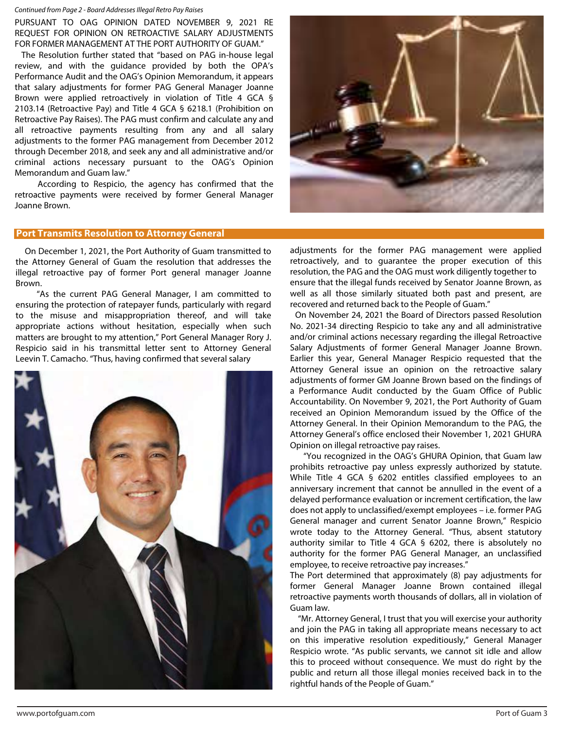#### Continued from Page 2 - Board Addresses Illegal Retro Pay Raises

PURSUANT TO OAG OPINION DATED NOVEMBER 9, 2021 RE REQUEST FOR OPINION ON RETROACTIVE SALARY ADJUSTMENTS FOR FORMER MANAGEMENT AT THE PORT AUTHORITY OF GUAM."

 The Resolution further stated that "based on PAG in-house legal review, and with the guidance provided by both the OPA's Performance Audit and the OAG's Opinion Memorandum, it appears that salary adjustments for former PAG General Manager Joanne Brown were applied retroactively in violation of Title 4 GCA § 2103.14 (Retroactive Pay) and Title 4 GCA § 6218.1 (Prohibition on Retroactive Pay Raises). The PAG must confirm and calculate any and all retroactive payments resulting from any and all salary adjustments to the former PAG management from December 2012 through December 2018, and seek any and all administrative and/or criminal actions necessary pursuant to the OAG's Opinion Memorandum and Guam law."

 According to Respicio, the agency has confirmed that the retroactive payments were received by former General Manager Joanne Brown.

# **Port Transmits Resolution to Attorney General**

 On December 1, 2021, the Port Authority of Guam transmitted to the Attorney General of Guam the resolution that addresses the illegal retroactive pay of former Port general manager Joanne Brown.

 "As the current PAG General Manager, I am committed to ensuring the protection of ratepayer funds, particularly with regard to the misuse and misappropriation thereof, and will take appropriate actions without hesitation, especially when such matters are brought to my attention," Port General Manager Rory J. Respicio said in his transmittal letter sent to Attorney General Leevin T. Camacho. "Thus, having confirmed that several salary





adjustments for the former PAG management were applied retroactively, and to guarantee the proper execution of this resolution, the PAG and the OAG must work diligently together to ensure that the illegal funds received by Senator Joanne Brown, as well as all those similarly situated both past and present, are recovered and returned back to the People of Guam."

 On November 24, 2021 the Board of Directors passed Resolution No. 2021-34 directing Respicio to take any and all administrative and/or criminal actions necessary regarding the illegal Retroactive Salary Adjustments of former General Manager Joanne Brown. Earlier this year, General Manager Respicio requested that the Attorney General issue an opinion on the retroactive salary adjustments of former GM Joanne Brown based on the findings of a Performance Audit conducted by the Guam Office of Public Accountability. On November 9, 2021, the Port Authority of Guam received an Opinion Memorandum issued by the Office of the Attorney General. In their Opinion Memorandum to the PAG, the Attorney General's office enclosed their November 1, 2021 GHURA Opinion on illegal retroactive pay raises.

 "You recognized in the OAG's GHURA Opinion, that Guam law prohibits retroactive pay unless expressly authorized by statute. While Title 4 GCA § 6202 entitles classified employees to an anniversary increment that cannot be annulled in the event of a delayed performance evaluation or increment certification, the law does not apply to unclassified/exempt employees – i.e. former PAG General manager and current Senator Joanne Brown," Respicio wrote today to the Attorney General. "Thus, absent statutory authority similar to Title 4 GCA § 6202, there is absolutely no authority for the former PAG General Manager, an unclassified employee, to receive retroactive pay increases."

The Port determined that approximately (8) pay adjustments for former General Manager Joanne Brown contained illegal retroactive payments worth thousands of dollars, all in violation of Guam law.

 "Mr. Attorney General, I trust that you will exercise your authority and join the PAG in taking all appropriate means necessary to act on this imperative resolution expeditiously," General Manager Respicio wrote. "As public servants, we cannot sit idle and allow this to proceed without consequence. We must do right by the public and return all those illegal monies received back in to the rightful hands of the People of Guam."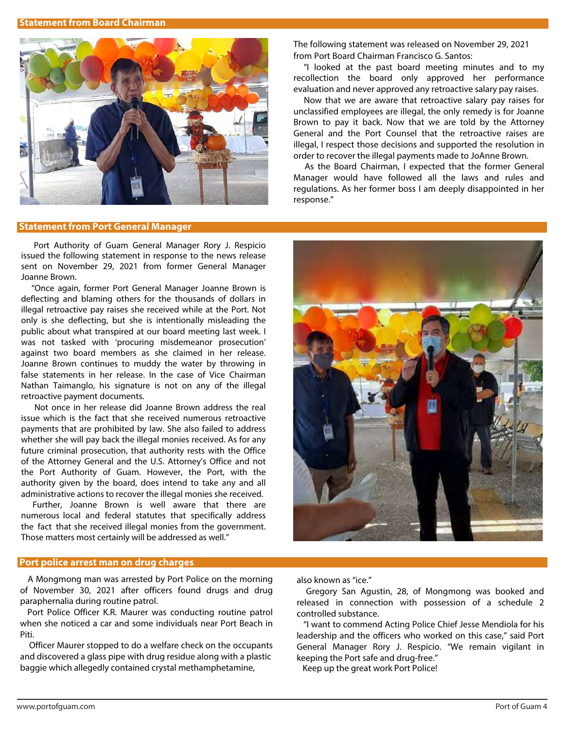

### **Statement from Port General Manager**

 Port Authority of Guam General Manager Rory J. Respicio issued the following statement in response to the news release sent on November 29, 2021 from former General Manager Joanne Brown.

 "Once again, former Port General Manager Joanne Brown is deflecting and blaming others for the thousands of dollars in illegal retroactive pay raises she received while at the Port. Not only is she deflecting, but she is intentionally misleading the public about what transpired at our board meeting last week. I was not tasked with 'procuring misdemeanor prosecution' against two board members as she claimed in her release. Joanne Brown continues to muddy the water by throwing in false statements in her release. In the case of Vice Chairman Nathan Taimanglo, his signature is not on any of the illegal retroactive payment documents.

 Not once in her release did Joanne Brown address the real issue which is the fact that she received numerous retroactive payments that are prohibited by law. She also failed to address whether she will pay back the illegal monies received. As for any future criminal prosecution, that authority rests with the Office of the Attorney General and the U.S. Attorney's Office and not the Port Authority of Guam. However, the Port, with the authority given by the board, does intend to take any and all administrative actions to recover the illegal monies she received.

 Further, Joanne Brown is well aware that there are numerous local and federal statutes that specifically address the fact that she received illegal monies from the government. Those matters most certainly will be addressed as well."

## **Port police arrest man on drug charges**

 A Mongmong man was arrested by Port Police on the morning of November 30, 2021 after officers found drugs and drug paraphernalia during routine patrol.

 Port Police Officer K.R. Maurer was conducting routine patrol when she noticed a car and some individuals near Port Beach in Piti.

 Officer Maurer stopped to do a welfare check on the occupants and discovered a glass pipe with drug residue along with a plastic baggie which allegedly contained crystal methamphetamine,

The following statement was released on November 29, 2021 from Port Board Chairman Francisco G. Santos:

"I looked at the past board meeting minutes and to my recollection the board only approved her performance evaluation and never approved any retroactive salary pay raises.

 Now that we are aware that retroactive salary pay raises for unclassified employees are illegal, the only remedy is for Joanne Brown to pay it back. Now that we are told by the Attorney General and the Port Counsel that the retroactive raises are illegal, I respect those decisions and supported the resolution in order to recover the illegal payments made to JoAnne Brown.

 As the Board Chairman, I expected that the former General Manager would have followed all the laws and rules and regulations. As her former boss I am deeply disappointed in her response."



also known as "ice."

 Gregory San Agustin, 28, of Mongmong was booked and released in connection with possession of a schedule 2 controlled substance.

 "I want to commend Acting Police Chief Jesse Mendiola for his leadership and the officers who worked on this case," said Port General Manager Rory J. Respicio. "We remain vigilant in keeping the Port safe and drug-free."

Keep up the great work Port Police!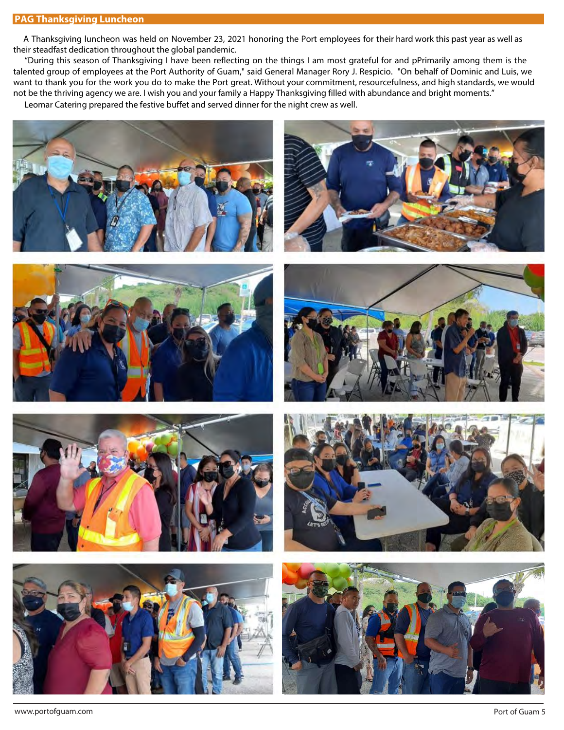## **PAG Thanksgiving Luncheon**

 A Thanksgiving luncheon was held on November 23, 2021 honoring the Port employees for their hard work this past year as well as their steadfast dedication throughout the global pandemic.

 "During this season of Thanksgiving I have been reflecting on the things I am most grateful for and pPrimarily among them is the talented group of employees at the Port Authority of Guam," said General Manager Rory J. Respicio. "On behalf of Dominic and Luis, we want to thank you for the work you do to make the Port great. Without your commitment, resourcefulness, and high standards, we would not be the thriving agency we are. I wish you and your family a Happy Thanksgiving filled with abundance and bright moments."

Leomar Catering prepared the festive buffet and served dinner for the night crew as well.